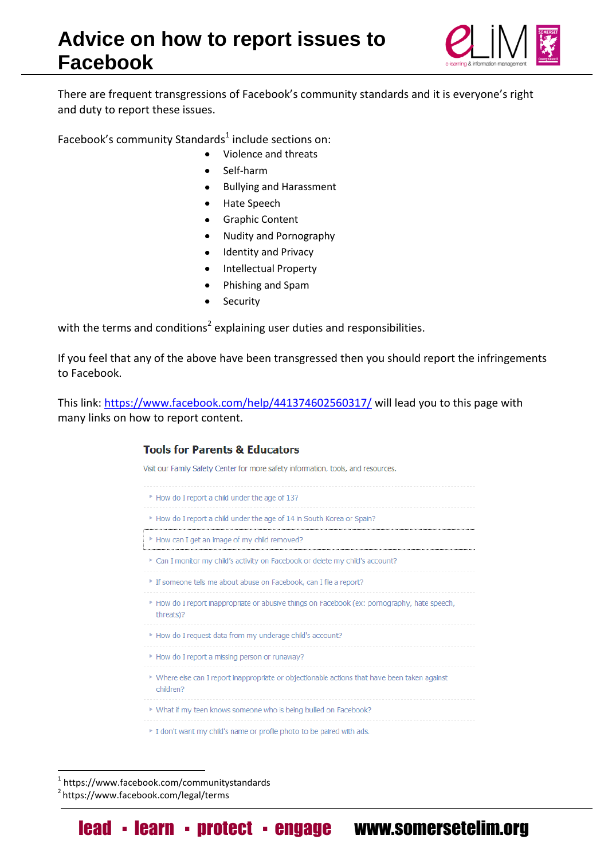

There are frequent transgressions of Facebook's community standards and it is everyone's right and duty to report these issues.

Facebook's community Standards<sup>1</sup> include sections on:

- Violence and threats
- Self-harm
- Bullying and Harassment  $\bullet$
- Hate Speech
- Graphic Content  $\bullet$
- Nudity and Pornography  $\bullet$
- Identity and Privacy
- Intellectual Property
- Phishing and Spam
- Security  $\bullet$

with the terms and conditions<sup>2</sup> explaining user duties and responsibilities.

If you feel that any of the above have been transgressed then you should report the infringements to Facebook.

This link: <https://www.facebook.com/help/441374602560317/> will lead you to this page with many links on how to report content.

## **Tools for Parents & Educators**

Visit our Family Safety Center for more safety information, tools, and resources.

- \* How do I report a child under the age of 13? > How do I report a child under the age of 14 in South Korea or Spain?
- ▶ How can I get an image of my child removed?
- 
- \* Can I monitor my child's activity on Facebook or delete my child's account?
- <sup>\*</sup> If someone tells me about abuse on Facebook, can I file a report?
- > How do I report inappropriate or abusive things on Facebook (ex: pornography, hate speech, threats)?
- > How do I request data from my underage child's account?
- 
- ▶ How do I report a missing person or runaway?
- ▶ Where else can I report inappropriate or objectionable actions that have been taken against children?
- ▶ What if my teen knows someone who is being bullied on Facebook?
- 
- If don't want my child's name or profile photo to be paired with ads.

1 https://www.facebook.com/communitystandards

<u>.</u>

<sup>2</sup> https://www.facebook.com/legal/terms